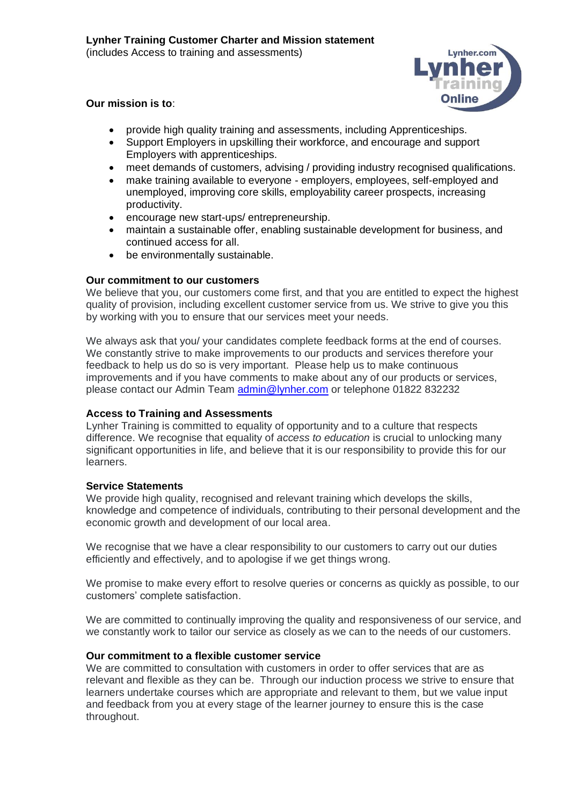

# **Our mission is to**:

- provide high quality training and assessments, including Apprenticeships.
- Support Employers in upskilling their workforce, and encourage and support Employers with apprenticeships.
- meet demands of customers, advising / providing industry recognised qualifications.
- make training available to everyone employers, employees, self-employed and unemployed, improving core skills, employability career prospects, increasing productivity.
- encourage new start-ups/ entrepreneurship.
- maintain a sustainable offer, enabling sustainable development for business, and continued access for all.
- be environmentally sustainable.

### **Our commitment to our customers**

We believe that you, our customers come first, and that you are entitled to expect the highest quality of provision, including excellent customer service from us. We strive to give you this by working with you to ensure that our services meet your needs.

We always ask that you/ your candidates complete feedback forms at the end of courses. We constantly strive to make improvements to our products and services therefore your feedback to help us do so is very important. Please help us to make continuous improvements and if you have comments to make about any of our products or services, please contact our Admin Team [admin@lynher.com](mailto:admin@lynher.com) or telephone 01822 832232

### **Access to Training and Assessments**

Lynher Training is committed to equality of opportunity and to a culture that respects difference. We recognise that equality of *access to education* is crucial to unlocking many significant opportunities in life, and believe that it is our responsibility to provide this for our learners.

### **Service Statements**

We provide high quality, recognised and relevant training which develops the skills, knowledge and competence of individuals, contributing to their personal development and the economic growth and development of our local area.

We recognise that we have a clear responsibility to our customers to carry out our duties efficiently and effectively, and to apologise if we get things wrong.

We promise to make every effort to resolve queries or concerns as quickly as possible, to our customers' complete satisfaction.

We are committed to continually improving the quality and responsiveness of our service, and we constantly work to tailor our service as closely as we can to the needs of our customers.

### **Our commitment to a flexible customer service**

We are committed to consultation with customers in order to offer services that are as relevant and flexible as they can be. Through our induction process we strive to ensure that learners undertake courses which are appropriate and relevant to them, but we value input and feedback from you at every stage of the learner journey to ensure this is the case throughout.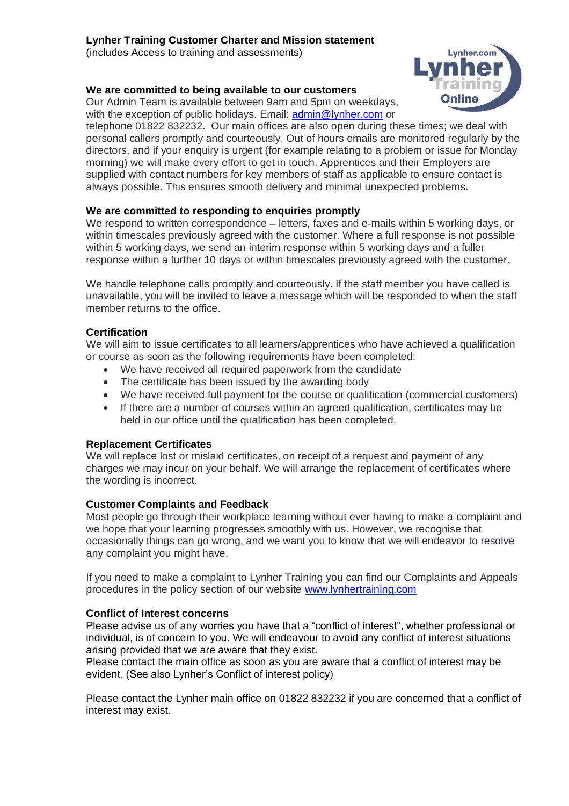# **Lynher Training Customer Charter and Mission statement**

(includes Access to training and assessments)

### **We are committed to being available to our customers**

Our Admin Team is available between 9am and 5pm on weekdays, with the exception of public holidays. Email: [admin@lynher.com](mailto:admin@lynher.com) or



telephone 01822 832232. Our main offices are also open during these times; we deal with personal callers promptly and courteously. Out of hours emails are monitored regularly by the directors, and if your enquiry is urgent (for example relating to a problem or issue for Monday morning) we will make every effort to get in touch. Apprentices and their Employers are supplied with contact numbers for key members of staff as applicable to ensure contact is always possible. This ensures smooth delivery and minimal unexpected problems.

### **We are committed to responding to enquiries promptly**

We respond to written correspondence – letters, faxes and e-mails within 5 working days, or within timescales previously agreed with the customer. Where a full response is not possible within 5 working days, we send an interim response within 5 working days and a fuller response within a further 10 days or within timescales previously agreed with the customer.

We handle telephone calls promptly and courteously. If the staff member you have called is unavailable, you will be invited to leave a message which will be responded to when the staff member returns to the office.

### **Certification**

We will aim to issue certificates to all learners/apprentices who have achieved a qualification or course as soon as the following requirements have been completed:

- We have received all required paperwork from the candidate
- The certificate has been issued by the awarding body
- We have received full payment for the course or qualification (commercial customers)
- If there are a number of courses within an agreed qualification, certificates may be held in our office until the qualification has been completed.

### **Replacement Certificates**

We will replace lost or mislaid certificates, on receipt of a request and payment of any charges we may incur on your behalf. We will arrange the replacement of certificates where the wording is incorrect.

### **Customer Complaints and Feedback**

Most people go through their workplace learning without ever having to make a complaint and we hope that your learning progresses smoothly with us. However, we recognise that occasionally things can go wrong, and we want you to know that we will endeavor to resolve any complaint you might have.

If you need to make a complaint to Lynher Training you can find our Complaints and Appeals procedures in the policy section of our website [www.lynhertraining.com](http://www.lynhertraining.com/)

### **Conflict of Interest concerns**

Please advise us of any worries you have that a "conflict of interest", whether professional or individual, is of concern to you. We will endeavour to avoid any conflict of interest situations arising provided that we are aware that they exist.

Please contact the main office as soon as you are aware that a conflict of interest may be evident. (See also Lynher's Conflict of interest policy)

Please contact the Lynher main office on 01822 832232 if you are concerned that a conflict of interest may exist.